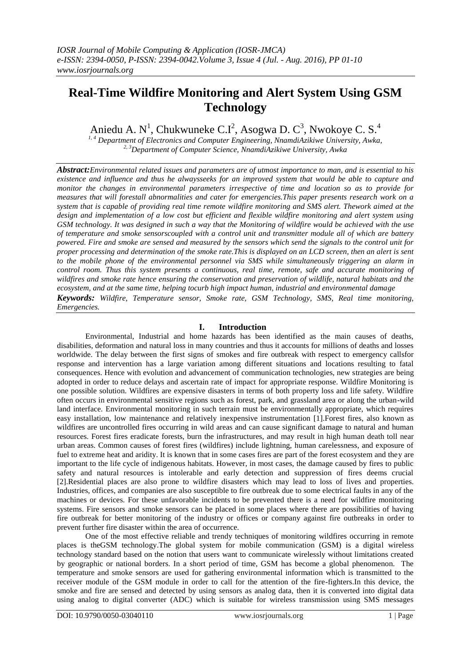# **Real-Time Wildfire Monitoring and Alert System Using GSM Technology**

Aniedu A. N<sup>1</sup>, Chukwuneke C.I<sup>2</sup>, Asogwa D. C<sup>3</sup>, Nwokoye C. S.<sup>4</sup>

*1, 4 Department of Electronics and Computer Engineering, NnamdiAzikiwe University, Awka, 2, 3Department of Computer Science, NnamdiAzikiwe University, Awka*

*Abstract:Environmental related issues and parameters are of utmost importance to man, and is essential to his existence and influence and thus he alwaysseeks for an improved system that would be able to capture and monitor the changes in environmental parameters irrespective of time and location so as to provide for measures that will forestall abnormalities and cater for emergencies.This paper presents research work on a system that is capable of providing real time remote wildfire monitoring and SMS alert. Thework aimed at the design and implementation of a low cost but efficient and flexible wildfire monitoring and alert system using GSM technology. It was designed in such a way that the Monitoring of wildfire would be achieved with the use of temperature and smoke sensorscoupled with a control unit and transmitter module all of which are battery powered. Fire and smoke are sensed and measured by the sensors which send the signals to the control unit for proper processing and determination of the smoke rate.This is displayed on an LCD screen, then an alert is sent to the mobile phone of the environmental personnel via SMS while simultaneously triggering an alarm in control room. Thus this system presents a continuous, real time, remote, safe and accurate monitoring of wildfires and smoke rate hence ensuring the conservation and preservation of wildlife, natural habitats and the ecosystem, and at the same time, helping tocurb high impact human, industrial and environmental damage Keywords: Wildfire, Temperature sensor, Smoke rate, GSM Technology, SMS, Real time monitoring, Emergencies.*

# **I. Introduction**

Environmental, Industrial and home hazards has been identified as the main causes of deaths, disabilities, deformation and natural loss in many countries and thus it accounts for millions of deaths and losses worldwide. The delay between the first signs of smokes and fire outbreak with respect to emergency callsfor response and intervention has a large variation among different situations and locations resulting to fatal consequences. Hence with evolution and advancement of communication technologies, new strategies are being adopted in order to reduce delays and ascertain rate of impact for appropriate response. Wildfire Monitoring is one possible solution. Wildfires are expensive disasters in terms of both property loss and life safety. Wildfire often occurs in environmental sensitive regions such as forest, park, and grassland area or along the urban-wild land interface. Environmental monitoring in such terrain must be environmentally appropriate, which requires easy installation, low maintenance and relatively inexpensive instrumentation [1].Forest fires, also known as wildfires are uncontrolled fires occurring in wild areas and can cause significant damage to natural and human resources. Forest fires eradicate forests, burn the infrastructures, and may result in high human death toll near urban areas. Common causes of forest fires (wildfires) include lightning, human carelessness, and exposure of fuel to extreme heat and aridity. It is known that in some cases fires are part of the forest ecosystem and they are important to the life cycle of indigenous habitats. However, in most cases, the damage caused by fires to public safety and natural resources is intolerable and early detection and suppression of fires deems crucial [2].Residential places are also prone to wildfire disasters which may lead to loss of lives and properties. Industries, offices, and companies are also susceptible to fire outbreak due to some electrical faults in any of the machines or devices. For these unfavorable incidents to be prevented there is a need for wildfire monitoring systems. Fire sensors and smoke sensors can be placed in some places where there are possibilities of having fire outbreak for better monitoring of the industry or offices or company against fire outbreaks in order to prevent further fire disaster within the area of occurrence.

One of the most effective reliable and trendy techniques of monitoring wildfires occurring in remote places is theGSM technology.The global system for mobile communication (GSM) is a digital wireless technology standard based on the notion that users want to communicate wirelessly without limitations created by geographic or national borders. In a short period of time, GSM has become a global phenomenon. The temperature and smoke sensors are used for gathering environmental information which is transmitted to the receiver module of the GSM module in order to call for the attention of the fire-fighters.In this device, the smoke and fire are sensed and detected by using sensors as analog data, then it is converted into digital data using analog to digital converter (ADC) which is suitable for wireless transmission using SMS messages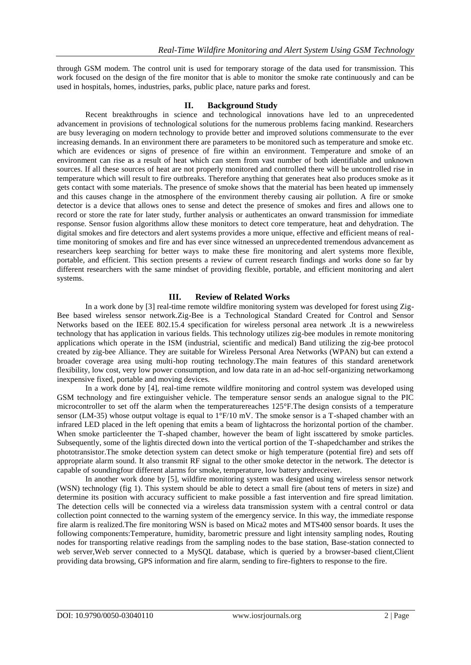through GSM modem. The control unit is used for temporary storage of the data used for transmission. This work focused on the design of the fire monitor that is able to monitor the smoke rate continuously and can be used in hospitals, homes, industries, parks, public place, nature parks and forest.

#### **II. Background Study**

Recent breakthroughs in science and technological innovations have led to an unprecedented advancement in provisions of technological solutions for the numerous problems facing mankind. Researchers are busy leveraging on modern technology to provide better and improved solutions commensurate to the ever increasing demands. In an environment there are parameters to be monitored such as temperature and smoke etc. which are evidences or signs of presence of fire within an environment. Temperature and smoke of an environment can rise as a result of heat which can stem from vast number of both identifiable and unknown sources. If all these sources of heat are not properly monitored and controlled there will be uncontrolled rise in temperature which will result to fire outbreaks. Therefore anything that generates heat also produces smoke as it gets contact with some materials. The presence of smoke shows that the material has been heated up immensely and this causes change in the atmosphere of the environment thereby causing air pollution. A fire or smoke detector is a device that allows ones to sense and detect the presence of smokes and fires and allows one to record or store the rate for later study, further analysis or authenticates an onward transmission for immediate response. Sensor fusion algorithms allow these monitors to detect core temperature, heat and dehydration. The digital smokes and fire detectors and alert systems provides a more unique, effective and efficient means of realtime monitoring of smokes and fire and has ever since witnessed an unprecedented tremendous advancement as researchers keep searching for better ways to make these fire monitoring and alert systems more flexible, portable, and efficient. This section presents a review of current research findings and works done so far by different researchers with the same mindset of providing flexible, portable, and efficient monitoring and alert systems.

#### **III. Review of Related Works**

In a work done by [3] real-time remote wildfire monitoring system was developed for forest using Zig-Bee based wireless sensor network.Zig-Bee is a Technological Standard Created for Control and Sensor Networks based on the IEEE 802.15.4 specification for wireless personal area network .It is a newwireless technology that has application in various fields. This technology utilizes zig-bee modules in remote monitoring applications which operate in the ISM (industrial, scientific and medical) Band utilizing the zig-bee protocol created by zig-bee Alliance. They are suitable for Wireless Personal Area Networks (WPAN) but can extend a broader coverage area using multi-hop routing technology.The main features of this standard arenetwork flexibility, low cost, very low power consumption, and low data rate in an ad-hoc self-organizing networkamong inexpensive fixed, portable and moving devices.

In a work done by [4], real-time remote wildfire monitoring and control system was developed using GSM technology and fire extinguisher vehicle. The temperature sensor sends an analogue signal to the PIC microcontroller to set off the alarm when the temperaturereaches 125°F.The design consists of a temperature sensor (LM-35) whose output voltage is equal to  $1^{\circ}F/10$  mV. The smoke sensor is a T-shaped chamber with an infrared LED placed in the left opening that emits a beam of lightacross the horizontal portion of the chamber. When smoke particleenter the T-shaped chamber, however the beam of light isscattered by smoke particles. Subsequently, some of the lightis directed down into the vertical portion of the T-shapedchamber and strikes the phototransistor.The smoke detection system can detect smoke or high temperature (potential fire) and sets off appropriate alarm sound. It also transmit RF signal to the other smoke detector in the network. The detector is capable of soundingfour different alarms for smoke, temperature, low battery andreceiver.

In another work done by [5], wildfire monitoring system was designed using wireless sensor network (WSN) technology (fig 1). This system should be able to detect a small fire (about tens of meters in size) and determine its position with accuracy sufficient to make possible a fast intervention and fire spread limitation. The detection cells will be connected via a wireless data transmission system with a central control or data collection point connected to the warning system of the emergency service. In this way, the immediate response fire alarm is realized.The fire monitoring WSN is based on Mica2 motes and MTS400 sensor boards. It uses the following components:Temperature, humidity, barometric pressure and light intensity sampling nodes, Routing nodes for transporting relative readings from the sampling nodes to the base station, Base-station connected to web server,Web server connected to a MySQL database, which is queried by a browser-based client,Client providing data browsing, GPS information and fire alarm, sending to fire-fighters to response to the fire.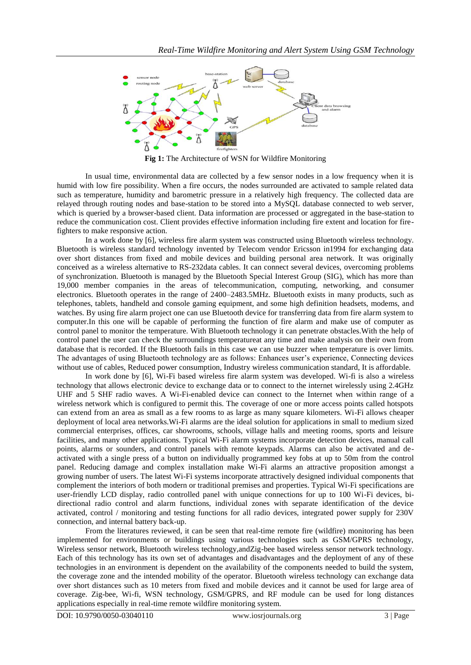

**Fig 1:** The Architecture of WSN for Wildfire Monitoring

In usual time, environmental data are collected by a few sensor nodes in a low frequency when it is humid with low fire possibility. When a fire occurs, the nodes surrounded are activated to sample related data such as temperature, humidity and barometric pressure in a relatively high frequency. The collected data are relayed through routing nodes and base-station to be stored into a MySQL database connected to web server, which is queried by a browser-based client. Data information are processed or aggregated in the base-station to reduce the communication cost. Client provides effective information including fire extent and location for firefighters to make responsive action.

In a work done by [6], wireless fire alarm system was constructed using Bluetooth wireless technology. Bluetooth is wireless standard technology invented by Telecom vendor Ericsson in1994 for exchanging data over short distances from fixed and mobile devices and building personal area network. It was originally conceived as a wireless alternative to RS-232data cables. It can connect several devices, overcoming problems of synchronization. Bluetooth is managed by the Bluetooth Special Interest Group (SIG), which has more than 19,000 member companies in the areas of telecommunication, computing, networking, and consumer electronics. Bluetooth operates in the range of 2400–2483.5MHz. Bluetooth exists in many products, such as telephones, tablets, handheld and console gaming equipment, and some high definition headsets, modems, and watches. By using fire alarm project one can use Bluetooth device for transferring data from fire alarm system to computer.In this one will be capable of performing the function of fire alarm and make use of computer as control panel to monitor the temperature. With Bluetooth technology it can penetrate obstacles.With the help of control panel the user can check the surroundings temperatureat any time and make analysis on their own from database that is recorded. If the Bluetooth fails in this case we can use buzzer when temperature is over limits. The advantages of using Bluetooth technology are as follows: Enhances user's experience, Connecting devices without use of cables, Reduced power consumption, Industry wireless communication standard, It is affordable.

In work done by [6], Wi-Fi based wireless fire alarm system was developed. Wi-fi is also a wireless technology that allows electronic device to exchange data or to connect to the internet wirelessly using 2.4GHz UHF and 5 SHF radio waves. A Wi-Fi-enabled device can connect to the Internet when within range of a wireless network which is configured to permit this. The coverage of one or more access points called hotspots can extend from an area as small as a few rooms to as large as many square kilometers. Wi-Fi allows cheaper deployment of local area networks.Wi-Fi alarms are the ideal solution for applications in small to medium sized commercial enterprises, offices, car showrooms, schools, village halls and meeting rooms, sports and leisure facilities, and many other applications. Typical Wi-Fi alarm systems incorporate detection devices, manual call points, alarms or sounders, and control panels with remote keypads. Alarms can also be activated and deactivated with a single press of a button on individually programmed key fobs at up to 50m from the control panel. Reducing damage and complex installation make Wi-Fi alarms an attractive proposition amongst a growing number of users. The latest Wi-Fi systems incorporate attractively designed individual components that complement the interiors of both modern or traditional premises and properties. Typical Wi-Fi specifications are user-friendly LCD display, radio controlled panel with unique connections for up to 100 Wi-Fi devices, bidirectional radio control and alarm functions, individual zones with separate identification of the device activated, control / monitoring and testing functions for all radio devices, integrated power supply for 230V connection, and internal battery back-up.

From the literatures reviewed, it can be seen that real-time remote fire (wildfire) monitoring has been implemented for environments or buildings using various technologies such as GSM/GPRS technology, Wireless sensor network, Bluetooth wireless technology,andZig-bee based wireless sensor network technology. Each of this technology has its own set of advantages and disadvantages and the deployment of any of these technologies in an environment is dependent on the availability of the components needed to build the system, the coverage zone and the intended mobility of the operator. Bluetooth wireless technology can exchange data over short distances such as 10 meters from fixed and mobile devices and it cannot be used for large area of coverage. Zig-bee, Wi-fi, WSN technology, GSM/GPRS, and RF module can be used for long distances applications especially in real-time remote wildfire monitoring system.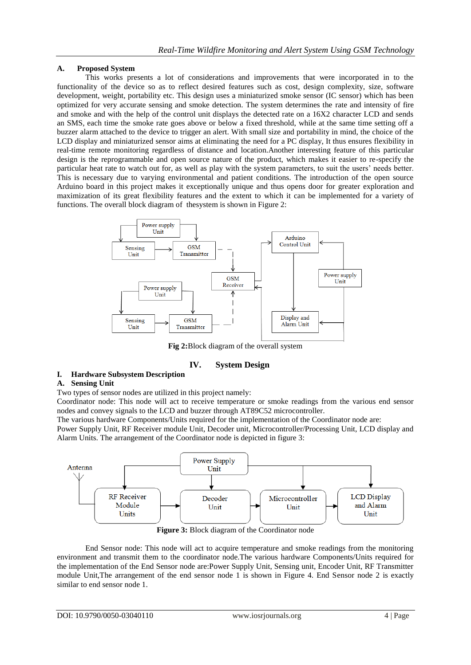# **A. Proposed System**

This works presents a lot of considerations and improvements that were incorporated in to the functionality of the device so as to reflect desired features such as cost, design complexity, size, software development, weight, portability etc. This design uses a miniaturized smoke sensor (IC sensor) which has been optimized for very accurate sensing and smoke detection. The system determines the rate and intensity of fire and smoke and with the help of the control unit displays the detected rate on a 16X2 character LCD and sends an SMS, each time the smoke rate goes above or below a fixed threshold, while at the same time setting off a buzzer alarm attached to the device to trigger an alert. With small size and portability in mind, the choice of the LCD display and miniaturized sensor aims at eliminating the need for a PC display, It thus ensures flexibility in real-time remote monitoring regardless of distance and location.Another interesting feature of this particular design is the reprogrammable and open source nature of the product, which makes it easier to re-specify the particular heat rate to watch out for, as well as play with the system parameters, to suit the users' needs better. This is necessary due to varying environmental and patient conditions. The introduction of the open source Arduino board in this project makes it exceptionally unique and thus opens door for greater exploration and maximization of its great flexibility features and the extent to which it can be implemented for a variety of functions. The overall block diagram of thesystem is shown in Figure 2:



**Fig 2:**Block diagram of the overall system

# **IV. System Design**

# **I. Hardware Subsystem Description**

#### **A. Sensing Unit**

Two types of sensor nodes are utilized in this project namely:

Coordinator node: This node will act to receive temperature or smoke readings from the various end sensor nodes and convey signals to the LCD and buzzer through AT89C52 microcontroller.

The various hardware Components/Units required for the implementation of the Coordinator node are:

Power Supply Unit, RF Receiver module Unit, Decoder unit, Microcontroller/Processing Unit, LCD display and Alarm Units. The arrangement of the Coordinator node is depicted in figure 3:



**Figure 3:** Block diagram of the Coordinator node

End Sensor node: This node will act to acquire temperature and smoke readings from the monitoring environment and transmit them to the coordinator node.The various hardware Components/Units required for the implementation of the End Sensor node are:Power Supply Unit, Sensing unit, Encoder Unit, RF Transmitter module Unit,The arrangement of the end sensor node 1 is shown in Figure 4. End Sensor node 2 is exactly similar to end sensor node 1.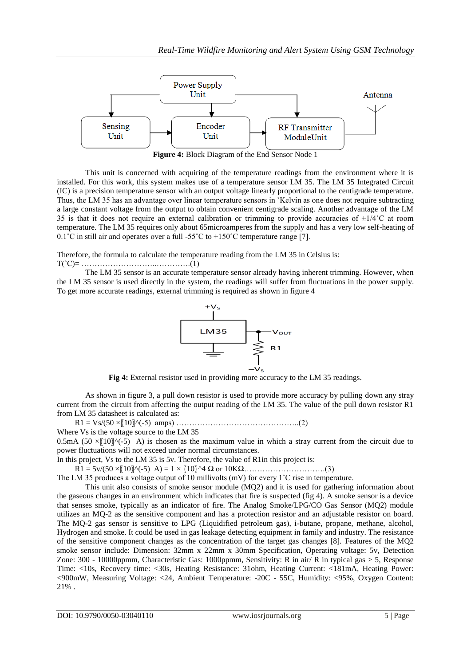

**Figure 4:** Block Diagram of the End Sensor Node 1

This unit is concerned with acquiring of the temperature readings from the environment where it is installed. For this work, this system makes use of a temperature sensor LM 35. The LM 35 Integrated Circuit (IC) is a precision temperature sensor with an output voltage linearly proportional to the centigrade temperature. Thus, the LM 35 has an advantage over linear temperature sensors in ˚Kelvin as one does not require subtracting a large constant voltage from the output to obtain convenient centigrade scaling. Another advantage of the LM 35 is that it does not require an external calibration or trimming to provide accuracies of  $\pm 1/4^{\circ}$ C at room temperature. The LM 35 requires only about 65microamperes from the supply and has a very low self-heating of 0.1°C in still air and operates over a full -55°C to +150°C temperature range [7].

Therefore, the formula to calculate the temperature reading from the LM 35 in Celsius is:

#### T(˚C)**=** ………………………..………….(1)

The LM 35 sensor is an accurate temperature sensor already having inherent trimming. However, when the LM 35 sensor is used directly in the system, the readings will suffer from fluctuations in the power supply. To get more accurate readings, external trimming is required as shown in figure 4



**Fig 4:** External resistor used in providing more accuracy to the LM 35 readings.

As shown in figure 3, a pull down resistor is used to provide more accuracy by pulling down any stray current from the circuit from affecting the output reading of the LM 35. The value of the pull down resistor R1 from LM 35 datasheet is calculated as:

R1 = Vs/(50 ×〖10〗^(-5) amps) ………………………………………..(2)

Where Vs is the voltage source to the LM 35

0.5mA (50  $\times$  [10] $\wedge$ (-5) A) is chosen as the maximum value in which a stray current from the circuit due to power fluctuations will not exceed under normal circumstances.

In this project, Vs to the LM 35 is 5v. Therefore, the value of R1in this project is:

 $R1 = 5v/(50 \times [10]\text{N}(-5)$  A) =  $1 \times [10]\text{N}4 \Omega$  or  $10K\Omega$ …………………………(3)

The LM 35 produces a voltage output of 10 millivolts (mV) for every 1<sup>°</sup>C rise in temperature.

This unit also consists of smoke sensor module (MQ2) and it is used for gathering information about the gaseous changes in an environment which indicates that fire is suspected (fig 4). A smoke sensor is a device that senses smoke, typically as an indicator of fire. The Analog Smoke/LPG/CO Gas Sensor (MQ2) module utilizes an MQ-2 as the sensitive component and has a protection resistor and an adjustable resistor on board. The MQ-2 gas sensor is sensitive to LPG (Liquidified petroleum gas), i-butane, propane, methane, alcohol, Hydrogen and smoke. It could be used in gas leakage detecting equipment in family and industry. The resistance of the sensitive component changes as the concentration of the target gas changes [8]. Features of the MQ2 smoke sensor include: Dimension: 32mm x 22mm x 30mm Specification, Operating voltage: 5v, Detection Zone: 300 - 10000ppmm, Characteristic Gas: 1000ppmm, Sensitivity: R in air/ R in typical gas > 5, Response Time: <10s, Recovery time: <30s, Heating Resistance: 31ohm, Heating Current: <181mA, Heating Power: <900mW, Measuring Voltage: <24, Ambient Temperature: -20C - 55C, Humidity: <95%, Oxygen Content: 21% .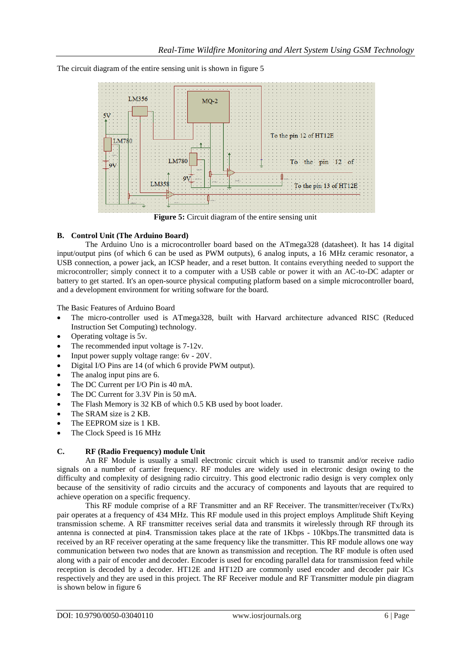The circuit diagram of the entire sensing unit is shown in figure 5



#### **B. Control Unit (The Arduino Board)**

The Arduino Uno is a microcontroller board based on the ATmega328 (datasheet). It has 14 digital input/output pins (of which 6 can be used as PWM outputs), 6 analog inputs, a 16 MHz ceramic resonator, a USB connection, a power jack, an ICSP header, and a reset button. It contains everything needed to support the microcontroller; simply connect it to a computer with a USB cable or power it with an AC-to-DC adapter or battery to get started. It's an open-source physical computing platform based on a simple microcontroller board, and a development environment for writing software for the board.

The Basic Features of Arduino Board

- The micro-controller used is ATmega328, built with Harvard architecture advanced RISC (Reduced Instruction Set Computing) technology.
- Operating voltage is 5v.
- The recommended input voltage is 7-12v.
- Input power supply voltage range: 6v 20V.
- Digital I/O Pins are 14 (of which 6 provide PWM output).
- The analog input pins are 6.
- The DC Current per I/O Pin is 40 mA.
- The DC Current for 3.3V Pin is 50 mA.
- The Flash Memory is 32 KB of which 0.5 KB used by boot loader.
- The SRAM size is 2 KB.
- The EEPROM size is 1 KB.
- The Clock Speed is 16 MHz

#### **C. RF (Radio Frequency) module Unit**

An RF Module is usually a small electronic circuit which is used to transmit and/or receive radio signals on a number of carrier frequency. RF modules are widely used in electronic design owing to the difficulty and complexity of designing radio circuitry. This good electronic radio design is very complex only because of the sensitivity of radio circuits and the accuracy of components and layouts that are required to achieve operation on a specific frequency.

This RF module comprise of a RF Transmitter and an RF Receiver. The transmitter/receiver (Tx/Rx) pair operates at a frequency of 434 MHz. This RF module used in this project employs Amplitude Shift Keying transmission scheme. A RF transmitter receives serial data and transmits it wirelessly through RF through its antenna is connected at pin4. Transmission takes place at the rate of 1Kbps - 10Kbps.The transmitted data is received by an RF receiver operating at the same frequency like the transmitter. This RF module allows one way communication between two nodes that are known as transmission and reception. The RF module is often used along with a pair of encoder and decoder. Encoder is used for encoding parallel data for transmission feed while reception is decoded by a decoder. HT12E and HT12D are commonly used encoder and decoder pair ICs respectively and they are used in this project. The RF Receiver module and RF Transmitter module pin diagram is shown below in figure 6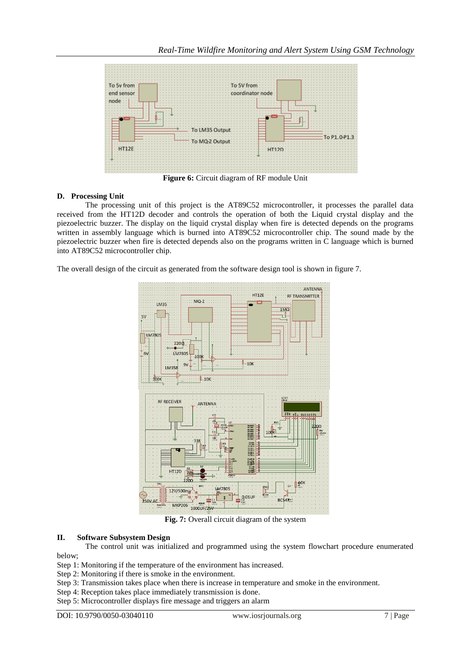

**Figure 6:** Circuit diagram of RF module Unit

## **D. Processing Unit**

The processing unit of this project is the AT89C52 microcontroller, it processes the parallel data received from the HT12D decoder and controls the operation of both the Liquid crystal display and the piezoelectric buzzer. The display on the liquid crystal display when fire is detected depends on the programs written in assembly language which is burned into AT89C52 microcontroller chip. The sound made by the piezoelectric buzzer when fire is detected depends also on the programs written in C language which is burned into AT89C52 microcontroller chip.

The overall design of the circuit as generated from the software design tool is shown in figure 7.



**Fig. 7:** Overall circuit diagram of the system

#### **II. Software Subsystem Design**

The control unit was initialized and programmed using the system flowchart procedure enumerated below;

Step 1: Monitoring if the temperature of the environment has increased.

Step 2: Monitoring if there is smoke in the environment.

Step 3: Transmission takes place when there is increase in temperature and smoke in the environment.

Step 4: Reception takes place immediately transmission is done.

Step 5: Microcontroller displays fire message and triggers an alarm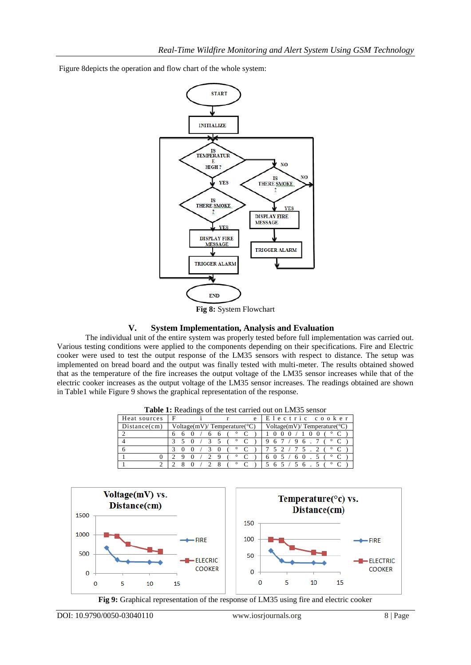Figure 8depicts the operation and flow chart of the whole system:



**Fig 8:** System Flowchart

## **V. System Implementation, Analysis and Evaluation**

The individual unit of the entire system was properly tested before full implementation was carried out. Various testing conditions were applied to the components depending on their specifications. Fire and Electric cooker were used to test the output response of the LM35 sensors with respect to distance. The setup was implemented on bread board and the output was finally tested with multi-meter. The results obtained showed that as the temperature of the fire increases the output voltage of the LM35 sensor increases while that of the electric cooker increases as the output voltage of the LM35 sensor increases. The readings obtained are shown in Table1 while Figure 9 shows the graphical representation of the response.

| <b>Table 1.</b> Keaulings of the test carried out on <i>Etable</i> Schsol |                                                                           |  |  |  |  |
|---------------------------------------------------------------------------|---------------------------------------------------------------------------|--|--|--|--|
| Heat sources                                                              | Electric cooker<br>F<br>e                                                 |  |  |  |  |
| Distance(cm)                                                              | Voltage(mV)/ Temperature( $°C$ )<br>$Voltage(mV)/ Temperature(^{\circ}C)$ |  |  |  |  |
|                                                                           |                                                                           |  |  |  |  |
|                                                                           | $\circ$<br>6                                                              |  |  |  |  |
|                                                                           | $\circ$<br>$\mathbf{U}$                                                   |  |  |  |  |
|                                                                           | o                                                                         |  |  |  |  |
|                                                                           |                                                                           |  |  |  |  |

|           |  |  | Table 1: Readings of the test carried out on LM35 sensor |  |
|-----------|--|--|----------------------------------------------------------|--|
| sources F |  |  | e Electric cook                                          |  |



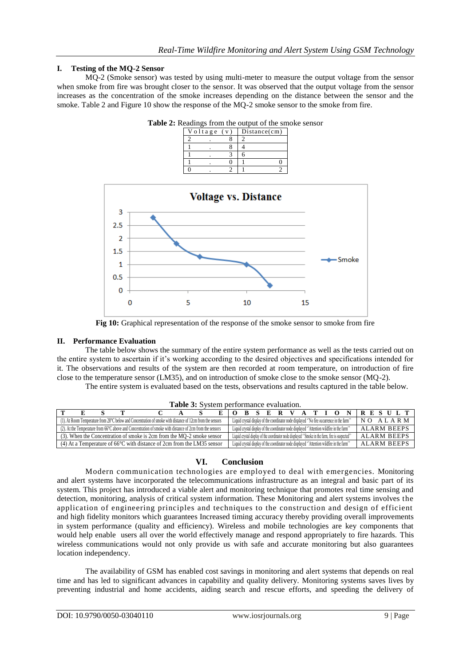# **I. Testing of the MQ-2 Sensor**

MQ-2 (Smoke sensor) was tested by using multi-meter to measure the output voltage from the sensor when smoke from fire was brought closer to the sensor. It was observed that the output voltage from the sensor increases as the concentration of the smoke increases depending on the distance between the sensor and the smoke. Table 2 and Figure 10 show the response of the MQ-2 smoke sensor to the smoke from fire.



**Table 2:** Readings from the output of the smoke sensor



**Fig 10:** Graphical representation of the response of the smoke sensor to smoke from fire

#### **II. Performance Evaluation**

The table below shows the summary of the entire system performance as well as the tests carried out on the entire system to ascertain if it's working according to the desired objectives and specifications intended for it. The observations and results of the system are then recorded at room temperature, on introduction of fire close to the temperature sensor (LM35), and on introduction of smoke close to the smoke sensor (MQ-2).

The entire system is evaluated based on the tests, observations and results captured in the table below.

| <b>Tuble of D</b> rotent beliofinance evaluation.                                                                      |                                                                                                                 |  |  |  |  |  |  |
|------------------------------------------------------------------------------------------------------------------------|-----------------------------------------------------------------------------------------------------------------|--|--|--|--|--|--|
|                                                                                                                        | <b>IRESULT</b><br>$A$ T<br>B S E R                                                                              |  |  |  |  |  |  |
| (1). At Room Temperature from 28°C below and Concentration of smoke with distance of 12cm from the sensors             | Liquid crystal display of the coordinator node displayed "No fire occurrence in the farm"<br>NO ALARM           |  |  |  |  |  |  |
| $(2)$ . At the Temperature from 66 $^{\circ}$ C above and Concentration of smoke with distance of 2cm from the sensors | Liquid crystal display of the coordinator node displayed "Attention wildfire in the farm"<br><b>ALARM BEEPS</b> |  |  |  |  |  |  |
| (3). When the Concentration of smoke is 2cm from the MO-2 smoke sensor                                                 | ALARM BEEPS<br>Liquid crystal display of the coordinator node displayed "Smoke in the farm, fire is suspected"  |  |  |  |  |  |  |
| (4) At a Temperature of $66^{\circ}$ C with distance of 2cm from the LM35 sensor                                       | Liquid crystal display of the coordinator node displayed "Attention wildfire in the farm"<br>ALARM BEEPS        |  |  |  |  |  |  |

**Table 3:** System performance evaluation.

# **VI. Conclusion**

Modern communication technologies are employed to deal with emergencies. Monitoring and alert systems have incorporated the telecommunications infrastructure as an integral and basic part of its system. This project has introduced a viable alert and monitoring technique that promotes real time sensing and detection, monitoring, analysis of critical system information. These Monitoring and alert systems involves the application of engineering principles and techniques to the construction and design of efficient and high fidelity monitors which guarantees Increased timing accuracy thereby providing overall improvements in system performance (quality and efficiency). Wireless and mobile technologies are key components that would help enable users all over the world effectively manage and respond appropriately to fire hazards. This wireless communications would not only provide us with safe and accurate monitoring but also guarantees location independency.

The availability of GSM has enabled cost savings in monitoring and alert systems that depends on real time and has led to significant advances in capability and quality delivery. Monitoring systems saves lives by preventing industrial and home accidents, aiding search and rescue efforts, and speeding the delivery of